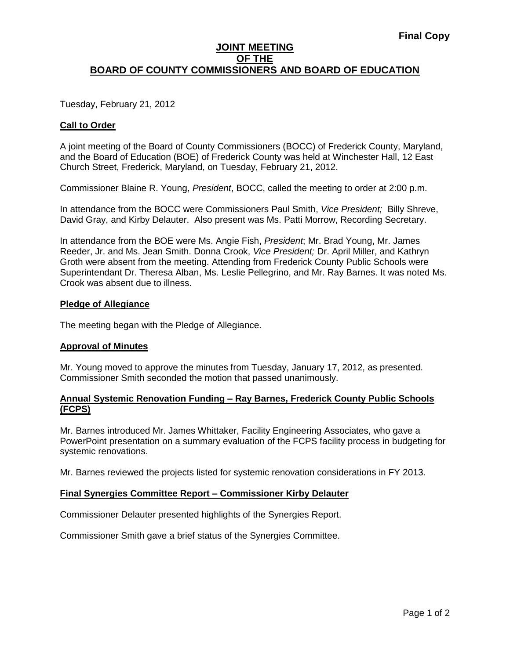## **JOINT MEETING OF THE BOARD OF COUNTY COMMISSIONERS AND BOARD OF EDUCATION**

Tuesday, February 21, 2012

## **Call to Order**

A joint meeting of the Board of County Commissioners (BOCC) of Frederick County, Maryland, and the Board of Education (BOE) of Frederick County was held at Winchester Hall, 12 East Church Street, Frederick, Maryland, on Tuesday, February 21, 2012.

Commissioner Blaine R. Young, *President*, BOCC, called the meeting to order at 2:00 p.m.

In attendance from the BOCC were Commissioners Paul Smith, *Vice President;* Billy Shreve, David Gray, and Kirby Delauter. Also present was Ms. Patti Morrow, Recording Secretary.

In attendance from the BOE were Ms. Angie Fish, *President*; Mr. Brad Young, Mr. James Reeder, Jr. and Ms. Jean Smith. Donna Crook, *Vice President;* Dr. April Miller, and Kathryn Groth were absent from the meeting. Attending from Frederick County Public Schools were Superintendant Dr. Theresa Alban, Ms. Leslie Pellegrino, and Mr. Ray Barnes. It was noted Ms. Crook was absent due to illness.

### **Pledge of Allegiance**

The meeting began with the Pledge of Allegiance.

### **Approval of Minutes**

Mr. Young moved to approve the minutes from Tuesday, January 17, 2012, as presented. Commissioner Smith seconded the motion that passed unanimously.

### **Annual Systemic Renovation Funding – Ray Barnes, Frederick County Public Schools (FCPS)**

Mr. Barnes introduced Mr. James Whittaker, Facility Engineering Associates, who gave a PowerPoint presentation on a summary evaluation of the FCPS facility process in budgeting for systemic renovations.

Mr. Barnes reviewed the projects listed for systemic renovation considerations in FY 2013.

### **Final Synergies Committee Report – Commissioner Kirby Delauter**

Commissioner Delauter presented highlights of the Synergies Report.

Commissioner Smith gave a brief status of the Synergies Committee.